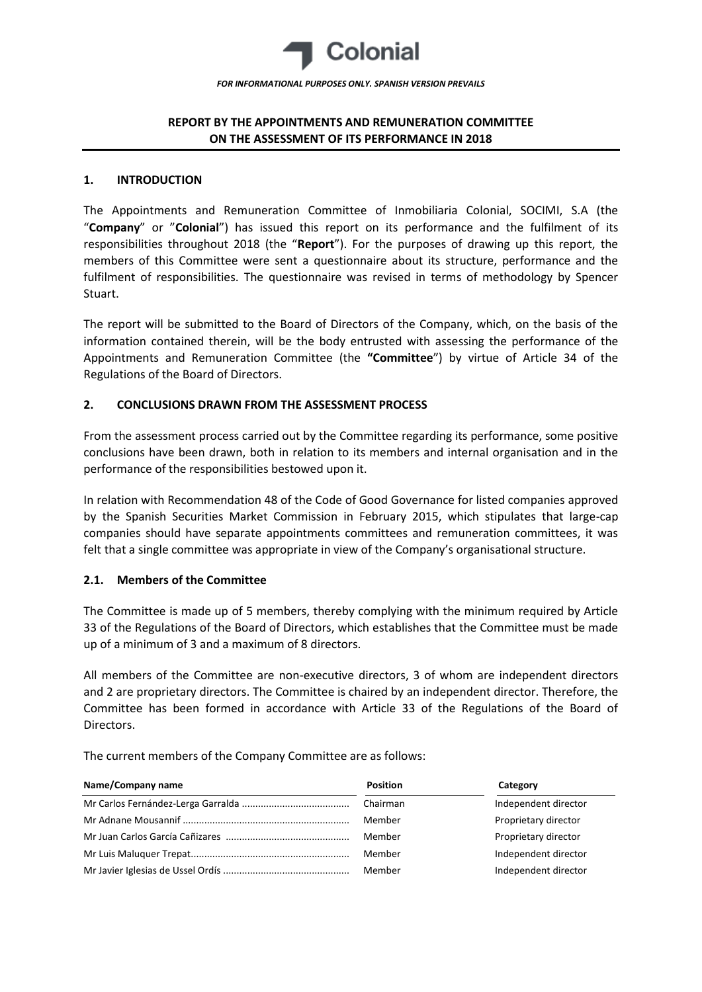

# **REPORT BY THE APPOINTMENTS AND REMUNERATION COMMITTEE ON THE ASSESSMENT OF ITS PERFORMANCE IN 2018**

### **1. INTRODUCTION**

The Appointments and Remuneration Committee of Inmobiliaria Colonial, SOCIMI, S.A (the "**Company**" or "**Colonial**") has issued this report on its performance and the fulfilment of its responsibilities throughout 2018 (the "**Report**"). For the purposes of drawing up this report, the members of this Committee were sent a questionnaire about its structure, performance and the fulfilment of responsibilities. The questionnaire was revised in terms of methodology by Spencer Stuart.

The report will be submitted to the Board of Directors of the Company, which, on the basis of the information contained therein, will be the body entrusted with assessing the performance of the Appointments and Remuneration Committee (the **"Committee**") by virtue of Article 34 of the Regulations of the Board of Directors.

## **2. CONCLUSIONS DRAWN FROM THE ASSESSMENT PROCESS**

From the assessment process carried out by the Committee regarding its performance, some positive conclusions have been drawn, both in relation to its members and internal organisation and in the performance of the responsibilities bestowed upon it.

In relation with Recommendation 48 of the Code of Good Governance for listed companies approved by the Spanish Securities Market Commission in February 2015, which stipulates that large-cap companies should have separate appointments committees and remuneration committees, it was felt that a single committee was appropriate in view of the Company's organisational structure.

## **2.1. Members of the Committee**

The Committee is made up of 5 members, thereby complying with the minimum required by Article 33 of the Regulations of the Board of Directors, which establishes that the Committee must be made up of a minimum of 3 and a maximum of 8 directors.

All members of the Committee are non-executive directors, 3 of whom are independent directors and 2 are proprietary directors. The Committee is chaired by an independent director. Therefore, the Committee has been formed in accordance with Article 33 of the Regulations of the Board of Directors.

The current members of the Company Committee are as follows:

| Name/Company name | <b>Position</b> | Category             |
|-------------------|-----------------|----------------------|
|                   |                 | Independent director |
|                   | Member          | Proprietary director |
|                   | Member          | Proprietary director |
|                   | Member          | Independent director |
|                   | Member          | Independent director |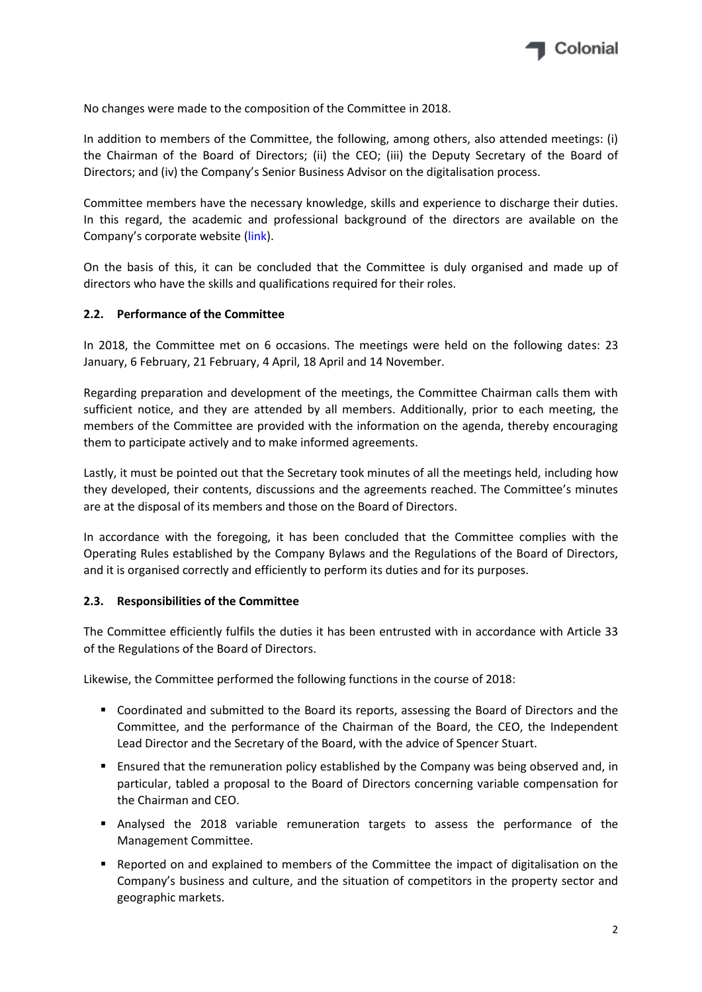

No changes were made to the composition of the Committee in 2018.

In addition to members of the Committee, the following, among others, also attended meetings: (i) the Chairman of the Board of Directors; (ii) the CEO; (iii) the Deputy Secretary of the Board of Directors; and (iv) the Company's Senior Business Advisor on the digitalisation process.

Committee members have the necessary knowledge, skills and experience to discharge their duties. In this regard, the academic and professional background of the directors are available on the Company's corporate website [\(link\)](https://www.inmocolonial.com/en/shareholders-investors/corporate-governance/board-directors-0).

On the basis of this, it can be concluded that the Committee is duly organised and made up of directors who have the skills and qualifications required for their roles.

## **2.2. Performance of the Committee**

In 2018, the Committee met on 6 occasions. The meetings were held on the following dates: 23 January, 6 February, 21 February, 4 April, 18 April and 14 November.

Regarding preparation and development of the meetings, the Committee Chairman calls them with sufficient notice, and they are attended by all members. Additionally, prior to each meeting, the members of the Committee are provided with the information on the agenda, thereby encouraging them to participate actively and to make informed agreements.

Lastly, it must be pointed out that the Secretary took minutes of all the meetings held, including how they developed, their contents, discussions and the agreements reached. The Committee's minutes are at the disposal of its members and those on the Board of Directors.

In accordance with the foregoing, it has been concluded that the Committee complies with the Operating Rules established by the Company Bylaws and the Regulations of the Board of Directors, and it is organised correctly and efficiently to perform its duties and for its purposes.

## **2.3. Responsibilities of the Committee**

The Committee efficiently fulfils the duties it has been entrusted with in accordance with Article 33 of the Regulations of the Board of Directors.

Likewise, the Committee performed the following functions in the course of 2018:

- Coordinated and submitted to the Board its reports, assessing the Board of Directors and the Committee, and the performance of the Chairman of the Board, the CEO, the Independent Lead Director and the Secretary of the Board, with the advice of Spencer Stuart.
- **E** Ensured that the remuneration policy established by the Company was being observed and, in particular, tabled a proposal to the Board of Directors concerning variable compensation for the Chairman and CEO.
- Analysed the 2018 variable remuneration targets to assess the performance of the Management Committee.
- Reported on and explained to members of the Committee the impact of digitalisation on the Company's business and culture, and the situation of competitors in the property sector and geographic markets.